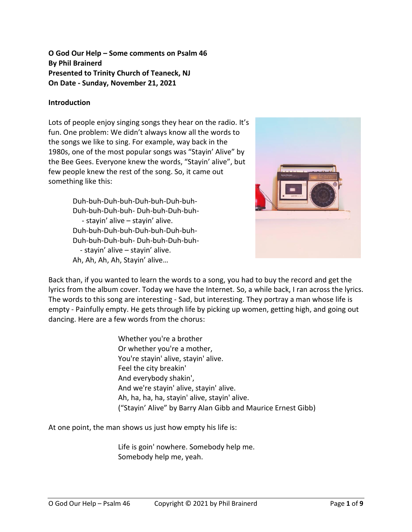**O God Our Help – Some comments on Psalm 46 By Phil Brainerd Presented to Trinity Church of Teaneck, NJ On Date - Sunday, November 21, 2021**

#### **Introduction**

Lots of people enjoy singing songs they hear on the radio. It's fun. One problem: We didn't always know all the words to the songs we like to sing. For example, way back in the 1980s, one of the most popular songs was "Stayin' Alive" by the Bee Gees. Everyone knew the words, "Stayin' alive", but few people knew the rest of the song. So, it came out something like this:

> Duh-buh-Duh-buh-Duh-buh-Duh-buh-Duh-buh-Duh-buh- Duh-buh-Duh-buh- - stayin' alive – stayin' alive. Duh-buh-Duh-buh-Duh-buh-Duh-buh-Duh-buh-Duh-buh- Duh-buh-Duh-buh- - stayin' alive – stayin' alive. Ah, Ah, Ah, Ah, Stayin' alive…



Back than, if you wanted to learn the words to a song, you had to buy the record and get the lyrics from the album cover. Today we have the Internet. So, a while back, I ran across the lyrics. The words to this song are interesting - Sad, but interesting. They portray a man whose life is empty - Painfully empty. He gets through life by picking up women, getting high, and going out dancing. Here are a few words from the chorus:

> Whether you're a brother Or whether you're a mother, You're stayin' alive, stayin' alive. Feel the city breakin' And everybody shakin', And we're stayin' alive, stayin' alive. Ah, ha, ha, ha, stayin' alive, stayin' alive. ("Stayin' Alive" by Barry Alan Gibb and Maurice Ernest Gibb)

At one point, the man shows us just how empty his life is:

Life is goin' nowhere. Somebody help me. Somebody help me, yeah.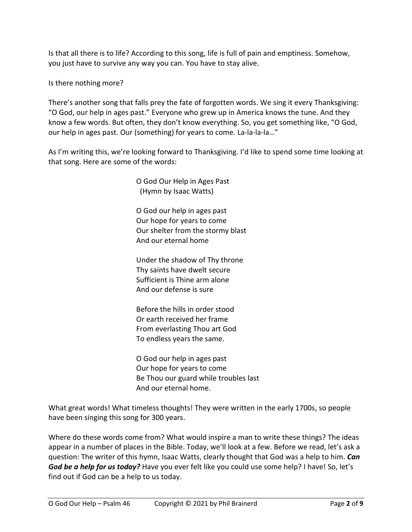Is that all there is to life? According to this song, life is full of pain and emptiness. Somehow, you just have to survive any way you can. You have to stay alive.

Is there nothing more?

There's another song that falls prey the fate of forgotten words. We sing it every Thanksgiving: "O God, our help in ages past." Everyone who grew up in America knows the tune. And they know a few words. But often, they don't know everything. So, you get something like, "O God, our help in ages past. Our (something) for years to come. La-la-la-la…"

As I'm writing this, we're looking forward to Thanksgiving. I'd like to spend some time looking at that song. Here are some of the words:

> O God Our Help in Ages Past (Hymn by Isaac Watts)

O God our help in ages past Our hope for years to come Our shelter from the stormy blast And our eternal home

Under the shadow of Thy throne Thy saints have dwelt secure Sufficient is Thine arm alone And our defense is sure

Before the hills in order stood Or earth received her frame From everlasting Thou art God To endless years the same.

O God our help in ages past Our hope for years to come Be Thou our guard while troubles last And our eternal home.

What great words! What timeless thoughts! They were written in the early 1700s, so people have been singing this song for 300 years.

Where do these words come from? What would inspire a man to write these things? The ideas appear in a number of places in the Bible. Today, we'll look at a few. Before we read, let's ask a question: The writer of this hymn, Isaac Watts, clearly thought that God was a help to him. *Can God be a help for us today?* Have you ever felt like you could use some help? I have! So, let's find out if God can be a help to us today.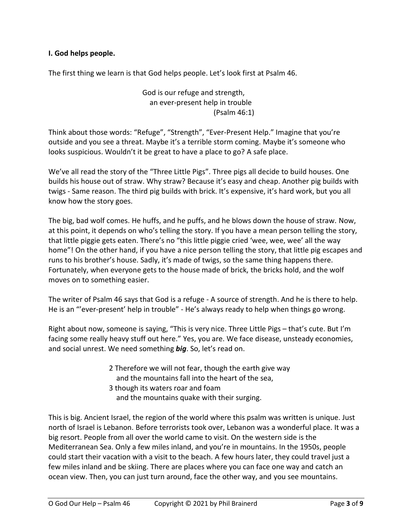### **I. God helps people.**

The first thing we learn is that God helps people. Let's look first at Psalm 46.

God is our refuge and strength, an ever-present help in trouble (Psalm 46:1)

Think about those words: "Refuge", "Strength", "Ever-Present Help." Imagine that you're outside and you see a threat. Maybe it's a terrible storm coming. Maybe it's someone who looks suspicious. Wouldn't it be great to have a place to go? A safe place.

We've all read the story of the "Three Little Pigs". Three pigs all decide to build houses. One builds his house out of straw. Why straw? Because it's easy and cheap. Another pig builds with twigs - Same reason. The third pig builds with brick. It's expensive, it's hard work, but you all know how the story goes.

The big, bad wolf comes. He huffs, and he puffs, and he blows down the house of straw. Now, at this point, it depends on who's telling the story. If you have a mean person telling the story, that little piggie gets eaten. There's no "this little piggie cried 'wee, wee, wee' all the way home"! On the other hand, if you have a nice person telling the story, that little pig escapes and runs to his brother's house. Sadly, it's made of twigs, so the same thing happens there. Fortunately, when everyone gets to the house made of brick, the bricks hold, and the wolf moves on to something easier.

The writer of Psalm 46 says that God is a refuge - A source of strength. And he is there to help. He is an "'ever-present' help in trouble" - He's always ready to help when things go wrong.

Right about now, someone is saying, "This is very nice. Three Little Pigs – that's cute. But I'm facing some really heavy stuff out here." Yes, you are. We face disease, unsteady economies, and social unrest. We need something *big*. So, let's read on.

- 2 Therefore we will not fear, though the earth give way and the mountains fall into the heart of the sea,
- 3 though its waters roar and foam and the mountains quake with their surging.

This is big. Ancient Israel, the region of the world where this psalm was written is unique. Just north of Israel is Lebanon. Before terrorists took over, Lebanon was a wonderful place. It was a big resort. People from all over the world came to visit. On the western side is the Mediterranean Sea. Only a few miles inland, and you're in mountains. In the 1950s, people could start their vacation with a visit to the beach. A few hours later, they could travel just a few miles inland and be skiing. There are places where you can face one way and catch an ocean view. Then, you can just turn around, face the other way, and you see mountains.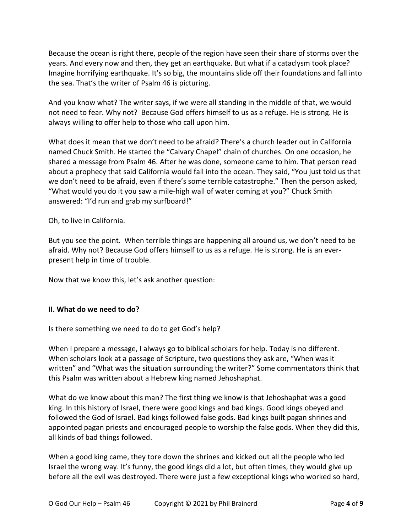Because the ocean is right there, people of the region have seen their share of storms over the years. And every now and then, they get an earthquake. But what if a cataclysm took place? Imagine horrifying earthquake. It's so big, the mountains slide off their foundations and fall into the sea. That's the writer of Psalm 46 is picturing.

And you know what? The writer says, if we were all standing in the middle of that, we would not need to fear. Why not? Because God offers himself to us as a refuge. He is strong. He is always willing to offer help to those who call upon him.

What does it mean that we don't need to be afraid? There's a church leader out in California named Chuck Smith. He started the "Calvary Chapel" chain of churches. On one occasion, he shared a message from Psalm 46. After he was done, someone came to him. That person read about a prophecy that said California would fall into the ocean. They said, "You just told us that we don't need to be afraid, even if there's some terrible catastrophe." Then the person asked, "What would you do it you saw a mile-high wall of water coming at you?" Chuck Smith answered: "I'd run and grab my surfboard!"

Oh, to live in California.

But you see the point. When terrible things are happening all around us, we don't need to be afraid. Why not? Because God offers himself to us as a refuge. He is strong. He is an everpresent help in time of trouble.

Now that we know this, let's ask another question:

### **II. What do we need to do?**

Is there something we need to do to get God's help?

When I prepare a message, I always go to biblical scholars for help. Today is no different. When scholars look at a passage of Scripture, two questions they ask are, "When was it written" and "What was the situation surrounding the writer?" Some commentators think that this Psalm was written about a Hebrew king named Jehoshaphat.

What do we know about this man? The first thing we know is that Jehoshaphat was a good king. In this history of Israel, there were good kings and bad kings. Good kings obeyed and followed the God of Israel. Bad kings followed false gods. Bad kings built pagan shrines and appointed pagan priests and encouraged people to worship the false gods. When they did this, all kinds of bad things followed.

When a good king came, they tore down the shrines and kicked out all the people who led Israel the wrong way. It's funny, the good kings did a lot, but often times, they would give up before all the evil was destroyed. There were just a few exceptional kings who worked so hard,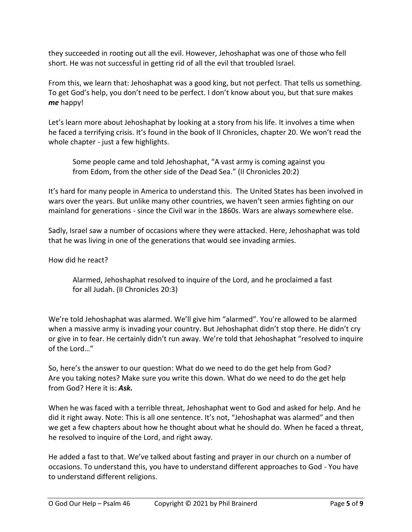they succeeded in rooting out all the evil. However, Jehoshaphat was one of those who fell short. He was not successful in getting rid of all the evil that troubled Israel.

From this, we learn that: Jehoshaphat was a good king, but not perfect. That tells us something. To get God's help, you don't need to be perfect. I don't know about you, but that sure makes *me* happy!

Let's learn more about Jehoshaphat by looking at a story from his life. It involves a time when he faced a terrifying crisis. It's found in the book of II Chronicles, chapter 20. We won't read the whole chapter - just a few highlights.

Some people came and told Jehoshaphat, "A vast army is coming against you from Edom, from the other side of the Dead Sea." (II Chronicles 20:2)

It's hard for many people in America to understand this. The United States has been involved in wars over the years. But unlike many other countries, we haven't seen armies fighting on our mainland for generations - since the Civil war in the 1860s. Wars are always somewhere else.

Sadly, Israel saw a number of occasions where they were attacked. Here, Jehoshaphat was told that he was living in one of the generations that would see invading armies.

How did he react?

Alarmed, Jehoshaphat resolved to inquire of the Lord, and he proclaimed a fast for all Judah. (II Chronicles 20:3)

We're told Jehoshaphat was alarmed. We'll give him "alarmed". You're allowed to be alarmed when a massive army is invading your country. But Jehoshaphat didn't stop there. He didn't cry or give in to fear. He certainly didn't run away. We're told that Jehoshaphat "resolved to inquire of the Lord…"

So, here's the answer to our question: What do we need to do the get help from God? Are you taking notes? Make sure you write this down. What do we need to do the get help from God? Here it is: *Ask.*

When he was faced with a terrible threat, Jehoshaphat went to God and asked for help. And he did it right away. Note: This is all one sentence. It's not, "Jehoshaphat was alarmed" and then we get a few chapters about how he thought about what he should do. When he faced a threat, he resolved to inquire of the Lord, and right away.

He added a fast to that. We've talked about fasting and prayer in our church on a number of occasions. To understand this, you have to understand different approaches to God - You have to understand different religions.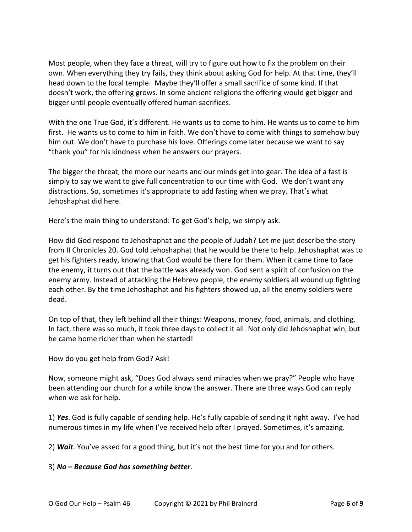Most people, when they face a threat, will try to figure out how to fix the problem on their own. When everything they try fails, they think about asking God for help. At that time, they'll head down to the local temple. Maybe they'll offer a small sacrifice of some kind. If that doesn't work, the offering grows. In some ancient religions the offering would get bigger and bigger until people eventually offered human sacrifices.

With the one True God, it's different. He wants us to come to him. He wants us to come to him first. He wants us to come to him in faith. We don't have to come with things to somehow buy him out. We don't have to purchase his love. Offerings come later because we want to say "thank you" for his kindness when he answers our prayers.

The bigger the threat, the more our hearts and our minds get into gear. The idea of a fast is simply to say we want to give full concentration to our time with God. We don't want any distractions. So, sometimes it's appropriate to add fasting when we pray. That's what Jehoshaphat did here.

Here's the main thing to understand: To get God's help, we simply ask.

How did God respond to Jehoshaphat and the people of Judah? Let me just describe the story from II Chronicles 20. God told Jehoshaphat that he would be there to help. Jehoshaphat was to get his fighters ready, knowing that God would be there for them. When it came time to face the enemy, it turns out that the battle was already won. God sent a spirit of confusion on the enemy army. Instead of attacking the Hebrew people, the enemy soldiers all wound up fighting each other. By the time Jehoshaphat and his fighters showed up, all the enemy soldiers were dead.

On top of that, they left behind all their things: Weapons, money, food, animals, and clothing. In fact, there was so much, it took three days to collect it all. Not only did Jehoshaphat win, but he came home richer than when he started!

How do you get help from God? Ask!

Now, someone might ask, "Does God always send miracles when we pray?" People who have been attending our church for a while know the answer. There are three ways God can reply when we ask for help.

1) *Yes*. God is fully capable of sending help. He's fully capable of sending it right away. I've had numerous times in my life when I've received help after I prayed. Sometimes, it's amazing.

2) *Wait*. You've asked for a good thing, but it's not the best time for you and for others.

# 3) *No – Because God has something better*.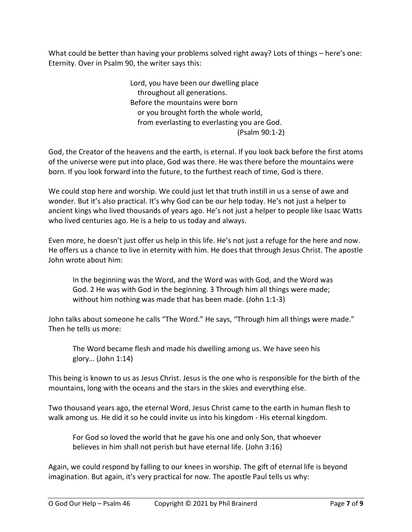What could be better than having your problems solved right away? Lots of things – here's one: Eternity. Over in Psalm 90, the writer says this:

> Lord, you have been our dwelling place throughout all generations. Before the mountains were born or you brought forth the whole world, from everlasting to everlasting you are God. (Psalm 90:1-2)

God, the Creator of the heavens and the earth, is eternal. If you look back before the first atoms of the universe were put into place, God was there. He was there before the mountains were born. If you look forward into the future, to the furthest reach of time, God is there.

We could stop here and worship. We could just let that truth instill in us a sense of awe and wonder. But it's also practical. It's why God can be our help today. He's not just a helper to ancient kings who lived thousands of years ago. He's not just a helper to people like Isaac Watts who lived centuries ago. He is a help to us today and always.

Even more, he doesn't just offer us help in this life. He's not just a refuge for the here and now. He offers us a chance to live in eternity with him. He does that through Jesus Christ. The apostle John wrote about him:

In the beginning was the Word, and the Word was with God, and the Word was God. 2 He was with God in the beginning. 3 Through him all things were made; without him nothing was made that has been made. (John 1:1-3)

John talks about someone he calls "The Word." He says, "Through him all things were made." Then he tells us more:

The Word became flesh and made his dwelling among us. We have seen his glory… (John 1:14)

This being is known to us as Jesus Christ. Jesus is the one who is responsible for the birth of the mountains, long with the oceans and the stars in the skies and everything else.

Two thousand years ago, the eternal Word, Jesus Christ came to the earth in human flesh to walk among us. He did it so he could invite us into his kingdom - His eternal kingdom.

For God so loved the world that he gave his one and only Son, that whoever believes in him shall not perish but have eternal life. (John 3:16)

Again, we could respond by falling to our knees in worship. The gift of eternal life is beyond imagination. But again, it's very practical for now. The apostle Paul tells us why: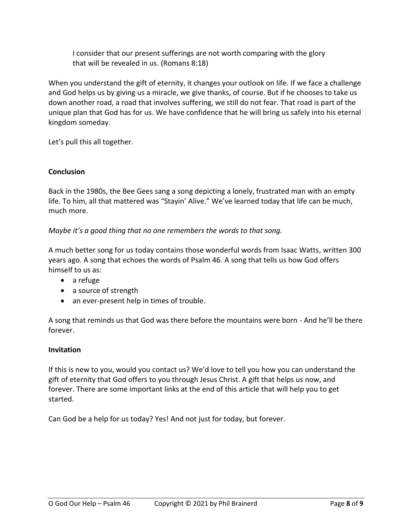I consider that our present sufferings are not worth comparing with the glory that will be revealed in us. (Romans 8:18)

When you understand the gift of eternity, it changes your outlook on life. If we face a challenge and God helps us by giving us a miracle, we give thanks, of course. But if he chooses to take us down another road, a road that involves suffering, we still do not fear. That road is part of the unique plan that God has for us. We have confidence that he will bring us safely into his eternal kingdom someday.

Let's pull this all together.

## **Conclusion**

Back in the 1980s, the Bee Gees sang a song depicting a lonely, frustrated man with an empty life. To him, all that mattered was "Stayin' Alive." We've learned today that life can be much, much more.

### *Maybe it's a good thing that no one remembers the words to that song.*

A much better song for us today contains those wonderful words from Isaac Watts, written 300 years ago. A song that echoes the words of Psalm 46. A song that tells us how God offers himself to us as:

- a refuge
- a source of strength
- an ever-present help in times of trouble.

A song that reminds us that God was there before the mountains were born - And he'll be there forever.

### **Invitation**

If this is new to you, would you contact us? We'd love to tell you how you can understand the gift of eternity that God offers to you through Jesus Christ. A gift that helps us now, and forever. There are some important links at the end of this article that will help you to get started.

Can God be a help for us today? Yes! And not just for today, but forever.